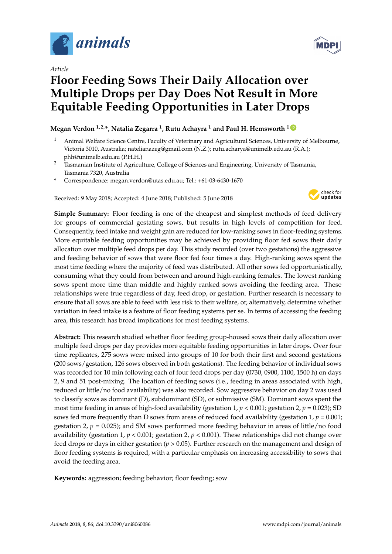

*Article*

# **Floor Feeding Sows Their Daily Allocation over Multiple Drops per Day Does Not Result in More Equitable Feeding Opportunities in Later Drops**

# $\mathbf{M}$ egan Verdon  $^{1,2,*}$ , Natalia Zegarra  $^1$ , Rutu Achayra  $^1$  and Paul H. Hemsworth  $^{1}$   $^{\mathbb{D}}$

- <sup>1</sup> Animal Welfare Science Centre, Faculty of Veterinary and Agricultural Sciences, University of Melbourne, Victoria 3010, Australia; natelianazeg@gmail.com (N.Z.); rutu.acharya@unimelb.edu.au (R.A.); phh@unimelb.edu.au (P.H.H.)
- <sup>2</sup> Tasmanian Institute of Agriculture, College of Sciences and Engineering, University of Tasmania, Tasmania 7320, Australia
- **\*** Correspondence: megan.verdon@utas.edu.au; Tel.: +61-03-6430-1670

Received: 9 May 2018; Accepted: 4 June 2018; Published: 5 June 2018



**Simple Summary:** Floor feeding is one of the cheapest and simplest methods of feed delivery for groups of commercial gestating sows, but results in high levels of competition for feed. Consequently, feed intake and weight gain are reduced for low-ranking sows in floor-feeding systems. More equitable feeding opportunities may be achieved by providing floor fed sows their daily allocation over multiple feed drops per day. This study recorded (over two gestations) the aggressive and feeding behavior of sows that were floor fed four times a day. High-ranking sows spent the most time feeding where the majority of feed was distributed. All other sows fed opportunistically, consuming what they could from between and around high-ranking females. The lowest ranking sows spent more time than middle and highly ranked sows avoiding the feeding area. These relationships were true regardless of day, feed drop, or gestation. Further research is necessary to ensure that all sows are able to feed with less risk to their welfare, or, alternatively, determine whether variation in feed intake is a feature of floor feeding systems per se. In terms of accessing the feeding area, this research has broad implications for most feeding systems.

**Abstract:** This research studied whether floor feeding group-housed sows their daily allocation over multiple feed drops per day provides more equitable feeding opportunities in later drops. Over four time replicates, 275 sows were mixed into groups of 10 for both their first and second gestations (200 sows/gestation, 126 sows observed in both gestations). The feeding behavior of individual sows was recorded for 10 min following each of four feed drops per day (0730, 0900, 1100, 1500 h) on days 2, 9 and 51 post-mixing. The location of feeding sows (i.e., feeding in areas associated with high, reduced or little/no food availability) was also recorded. Sow aggressive behavior on day 2 was used to classify sows as dominant (D), subdominant (SD), or submissive (SM). Dominant sows spent the most time feeding in areas of high-food availability (gestation 1, *p* < 0.001; gestation 2, *p* = 0.023); SD sows fed more frequently than D sows from areas of reduced food availability (gestation 1, *p* = 0.001; gestation 2,  $p = 0.025$ ; and SM sows performed more feeding behavior in areas of little/no food availability (gestation 1, *p* < 0.001; gestation 2, *p* < 0.001). These relationships did not change over feed drops or days in either gestation (*p* > 0.05). Further research on the management and design of floor feeding systems is required, with a particular emphasis on increasing accessibility to sows that avoid the feeding area.

**Keywords:** aggression; feeding behavior; floor feeding; sow

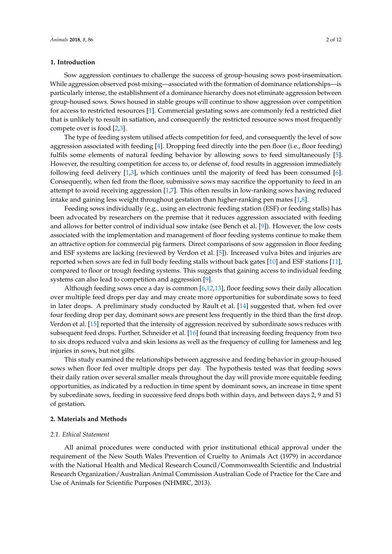# **1. Introduction**

Sow aggression continues to challenge the success of group-housing sows post-insemination. While aggression observed post-mixing—associated with the formation of dominance relationships—is particularly intense, the establishment of a dominance hierarchy does not eliminate aggression between group-housed sows. Sows housed in stable groups will continue to show aggression over competition for access to restricted resources [\[1\]](#page-10-0). Commercial gestating sows are commonly fed a restricted diet that is unlikely to result in satiation, and consequently the restricted resource sows most frequently compete over is food [\[2](#page-10-1)[,3\]](#page-10-2).

The type of feeding system utilised affects competition for feed, and consequently the level of sow aggression associated with feeding [\[4\]](#page-10-3). Dropping feed directly into the pen floor (i.e., floor feeding) fulfils some elements of natural feeding behavior by allowing sows to feed simultaneously [\[5\]](#page-10-4). However, the resulting competition for access to, or defense of, food results in aggression immediately following feed delivery [\[1,](#page-10-0)[3\]](#page-10-2), which continues until the majority of feed has been consumed [\[6\]](#page-10-5). Consequently, when fed from the floor, submissive sows may sacrifice the opportunity to feed in an attempt to avoid receiving aggression [\[1,](#page-10-0)[7\]](#page-10-6). This often results in low-ranking sows having reduced intake and gaining less weight throughout gestation than higher-ranking pen mates [\[1,](#page-10-0)[8\]](#page-10-7).

Feeding sows individually (e.g., using an electronic feeding station (ESF) or feeding stalls) has been advocated by researchers on the premise that it reduces aggression associated with feeding and allows for better control of individual sow intake (see Bench et al. [\[9\]](#page-10-8)). However, the low costs associated with the implementation and management of floor feeding systems continue to make them an attractive option for commercial pig farmers. Direct comparisons of sow aggression in floor feeding and ESF systems are lacking (reviewed by Verdon et al. [\[5\]](#page-10-4)). Increased vulva bites and injuries are reported when sows are fed in full body feeding stalls without back gates [\[10\]](#page-10-9) and ESF stations [\[11\]](#page-10-10), compared to floor or trough feeding systems. This suggests that gaining access to individual feeding systems can also lead to competition and aggression [\[9\]](#page-10-8).

Although feeding sows once a day is common [\[6,](#page-10-5)[12,](#page-10-11)[13\]](#page-10-12), floor feeding sows their daily allocation over multiple feed drops per day and may create more opportunities for subordinate sows to feed in later drops. A preliminary study conducted by Rault et al. [\[14\]](#page-10-13) suggested that, when fed over four feeding drop per day, dominant sows are present less frequently in the third than the first drop. Verdon et al. [\[15\]](#page-10-14) reported that the intensity of aggression received by subordinate sows reduces with subsequent feed drops. Further, Schneider et al. [\[16\]](#page-10-15) found that increasing feeding frequency from two to six drops reduced vulva and skin lesions as well as the frequency of culling for lameness and leg injuries in sows, but not gilts.

This study examined the relationships between aggressive and feeding behavior in group-housed sows when floor fed over multiple drops per day. The hypothesis tested was that feeding sows their daily ration over several smaller meals throughout the day will provide more equitable feeding opportunities, as indicated by a reduction in time spent by dominant sows, an increase in time spent by subordinate sows, feeding in successive feed drops both within days, and between days 2, 9 and 51 of gestation.

#### **2. Materials and Methods**

#### *2.1. Ethical Statement*

All animal procedures were conducted with prior institutional ethical approval under the requirement of the New South Wales Prevention of Cruelty to Animals Act (1979) in accordance with the National Health and Medical Research Council/Commonwealth Scientific and Industrial Research Organization/Australian Animal Commission Australian Code of Practice for the Care and Use of Animals for Scientific Purposes (NHMRC, 2013).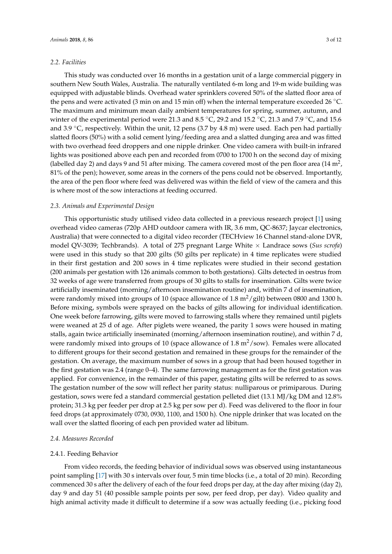#### *2.2. Facilities*

This study was conducted over 16 months in a gestation unit of a large commercial piggery in southern New South Wales, Australia. The naturally ventilated 6-m long and 19-m wide building was equipped with adjustable blinds. Overhead water sprinklers covered 50% of the slatted floor area of the pens and were activated (3 min on and 15 min off) when the internal temperature exceeded 26  $°C$ . The maximum and minimum mean daily ambient temperatures for spring, summer, autumn, and winter of the experimental period were 21.3 and 8.5 °C, 29.2 and 15.2 °C, 21.3 and 7.9 °C, and 15.6 and 3.9 ◦C, respectively. Within the unit, 12 pens (3.7 by 4.8 m) were used. Each pen had partially slatted floors (50%) with a solid cement lying/feeding area and a slatted dunging area and was fitted with two overhead feed droppers and one nipple drinker. One video camera with built-in infrared lights was positioned above each pen and recorded from 0700 to 1700 h on the second day of mixing (labelled day 2) and days 9 and 51 after mixing. The camera covered most of the pen floor area (14  $\mathrm{m}^2$ , 81% of the pen); however, some areas in the corners of the pens could not be observed. Importantly, the area of the pen floor where feed was delivered was within the field of view of the camera and this is where most of the sow interactions at feeding occurred.

#### *2.3. Animals and Experimental Design*

This opportunistic study utilised video data collected in a previous research project [\[1\]](#page-10-0) using overhead video cameras (720p AHD outdoor camera with IR, 3.6 mm, QC-8637; Jaycar electronics, Australia) that were connected to a digital video recorder (TECHview 16 Channel stand-alone DVR, model QV-3039; Techbrands). A total of 275 pregnant Large White × Landrace sows (*Sus scrofa*) were used in this study so that 200 gilts (50 gilts per replicate) in 4 time replicates were studied in their first gestation and 200 sows in 4 time replicates were studied in their second gestation (200 animals per gestation with 126 animals common to both gestations). Gilts detected in oestrus from 32 weeks of age were transferred from groups of 30 gilts to stalls for insemination. Gilts were twice artificially inseminated (morning/afternoon insemination routine) and, within 7 d of insemination, were randomly mixed into groups of 10 (space allowance of 1.8  $\frac{m^2}{g}$ ilt) between 0800 and 1300 h. Before mixing, symbols were sprayed on the backs of gilts allowing for individual identification. One week before farrowing, gilts were moved to farrowing stalls where they remained until piglets were weaned at 25 d of age. After piglets were weaned, the parity 1 sows were housed in mating stalls, again twice artificially inseminated (morning/afternoon insemination routine), and within 7 d, were randomly mixed into groups of 10 (space allowance of 1.8  $\text{m}^2/\text{s}$ ow). Females were allocated to different groups for their second gestation and remained in these groups for the remainder of the gestation. On average, the maximum number of sows in a group that had been housed together in the first gestation was 2.4 (range 0–4). The same farrowing management as for the first gestation was applied. For convenience, in the remainder of this paper, gestating gilts will be referred to as sows. The gestation number of the sow will reflect her parity status: nulliparous or primiparous. During gestation, sows were fed a standard commercial gestation pelleted diet (13.1 MJ/kg DM and 12.8% protein; 31.3 kg per feeder per drop at 2.5 kg per sow per d). Feed was delivered to the floor in four feed drops (at approximately 0730, 0930, 1100, and 1500 h). One nipple drinker that was located on the wall over the slatted flooring of each pen provided water ad libitum.

#### *2.4. Measures Recorded*

#### 2.4.1. Feeding Behavior

From video records, the feeding behavior of individual sows was observed using instantaneous point sampling [\[17\]](#page-10-16) with 30 s intervals over four, 5 min time blocks (i.e., a total of 20 min). Recording commenced 30 s after the delivery of each of the four feed drops per day, at the day after mixing (day 2), day 9 and day 51 (40 possible sample points per sow, per feed drop, per day). Video quality and high animal activity made it difficult to determine if a sow was actually feeding (i.e., picking food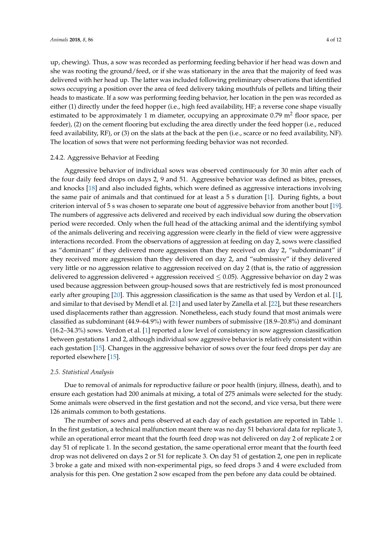up, chewing). Thus, a sow was recorded as performing feeding behavior if her head was down and she was rooting the ground/feed, or if she was stationary in the area that the majority of feed was delivered with her head up. The latter was included following preliminary observations that identified sows occupying a position over the area of feed delivery taking mouthfuls of pellets and lifting their heads to masticate. If a sow was performing feeding behavior, her location in the pen was recorded as either (1) directly under the feed hopper (i.e., high feed availability, HF; a reverse cone shape visually estimated to be approximately 1 m diameter, occupying an approximate  $0.79$  m<sup>2</sup> floor space, per feeder), (2) on the cement flooring but excluding the area directly under the feed hopper (i.e., reduced feed availability, RF), or (3) on the slats at the back at the pen (i.e., scarce or no feed availability, NF). The location of sows that were not performing feeding behavior was not recorded.

#### 2.4.2. Aggressive Behavior at Feeding

Aggressive behavior of individual sows was observed continuously for 30 min after each of the four daily feed drops on days 2, 9 and 51. Aggressive behavior was defined as bites, presses, and knocks [\[18\]](#page-10-17) and also included fights, which were defined as aggressive interactions involving the same pair of animals and that continued for at least a 5 s duration [\[1\]](#page-10-0). During fights, a bout criterion interval of 5 s was chosen to separate one bout of aggressive behavior from another bout [\[19\]](#page-10-18). The numbers of aggressive acts delivered and received by each individual sow during the observation period were recorded. Only when the full head of the attacking animal and the identifying symbol of the animals delivering and receiving aggression were clearly in the field of view were aggressive interactions recorded. From the observations of aggression at feeding on day 2, sows were classified as "dominant" if they delivered more aggression than they received on day 2, "subdominant" if they received more aggression than they delivered on day 2, and "submissive" if they delivered very little or no aggression relative to aggression received on day 2 (that is, the ratio of aggression delivered to aggression delivered + aggression received  $\leq$  0.05). Aggressive behavior on day 2 was used because aggression between group-housed sows that are restrictively fed is most pronounced early after grouping [\[20\]](#page-10-19). This aggression classification is the same as that used by Verdon et al. [\[1\]](#page-10-0), and similar to that devised by Mendl et al. [\[21\]](#page-10-20) and used later by Zanella et al. [\[22\]](#page-11-0), but these researchers used displacements rather than aggression. Nonetheless, each study found that most animals were classified as subdominant (44.9–64.9%) with fewer numbers of submissive (18.9–20.8%) and dominant (16.2–34.3%) sows. Verdon et al. [\[1\]](#page-10-0) reported a low level of consistency in sow aggression classification between gestations 1 and 2, although individual sow aggressive behavior is relatively consistent within each gestation [\[15\]](#page-10-14). Changes in the aggressive behavior of sows over the four feed drops per day are reported elsewhere [\[15\]](#page-10-14).

#### *2.5. Statistical Analysis*

Due to removal of animals for reproductive failure or poor health (injury, illness, death), and to ensure each gestation had 200 animals at mixing, a total of 275 animals were selected for the study. Some animals were observed in the first gestation and not the second, and vice versa, but there were 126 animals common to both gestations.

The number of sows and pens observed at each day of each gestation are reported in Table [1.](#page-4-0) In the first gestation, a technical malfunction meant there was no day 51 behavioral data for replicate 3, while an operational error meant that the fourth feed drop was not delivered on day 2 of replicate 2 or day 51 of replicate 1. In the second gestation, the same operational error meant that the fourth feed drop was not delivered on days 2 or 51 for replicate 3. On day 51 of gestation 2, one pen in replicate 3 broke a gate and mixed with non-experimental pigs, so feed drops 3 and 4 were excluded from analysis for this pen. One gestation 2 sow escaped from the pen before any data could be obtained.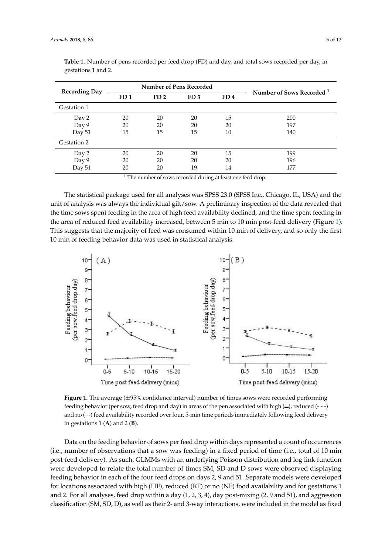| <b>Recording Day</b> | Number of Pens Recorded |                 |                 |                 |                                      |
|----------------------|-------------------------|-----------------|-----------------|-----------------|--------------------------------------|
|                      | FD <sub>1</sub>         | FD <sub>2</sub> | FD <sub>3</sub> | FD <sub>4</sub> | Number of Sows Recorded <sup>1</sup> |
| Gestation 1          |                         |                 |                 |                 |                                      |
| Day 2                | 20                      | 20              | 20              | 15              | 200                                  |
| Day 9                | 20                      | 20              | 20              | 20              | 197                                  |
| Day 51               | 15                      | 15              | 15              | 10              | 140                                  |
| Gestation 2          |                         |                 |                 |                 |                                      |
| Day 2                | 20                      | 20              | 20              | 15              | 199                                  |
| Day 9                | 20                      | 20              | 20              | 20              | 196                                  |
| Day 51               | 20                      | 20              | 19              | 14              | 177                                  |

<span id="page-4-0"></span>**Table 1.** Number of pens recorded per feed drop (FD) and day, and total sows recorded per day, in **Table 1.** Number of persons 1 and 2.

 $1$  The number of sows recorded during at least one feed drop. The number of sows recorded during at least one feed drop.

The statistical package used for all analyses was SPSS 23.0 (SPSS Inc., Chicago, IL, USA) and the The statistical package used for all analyses was SPSS 23.0 (SPSS Inc., Chicago, IL, USA) and the unit of analysis was always the individual gilt/sow. A preliminary inspection of the data revealed that the time sows spent feeding in the area of high feed availability declined, and the time spent feeding in the area of reduced feed availability increased, between 5 min to 10 min post-feed delivery (Figure [1\)](#page-4-1). This suggests that the majority of feed was consumed within 10 min of delivery, and so only the first 10 min of feeding behavior data was used in statistical analysis.

<span id="page-4-1"></span>

**Figure 1.** The average (±95% confidence interval) number of times sows were recorded performing **Figure 1.** The average (±95% confidence interval) number of times sows were recorded performing feeding behavior (per sow, feed drop and day) in areas of the pen associated with high  $($  $\bullet$ ), reduced (- - -) and no  $(\cdots)$  feed availability recorded over four, 5-min time periods immediately following feed delivery in gestations 1  $(A)$  and 2  $(B)$ .

Data on the feeding behavior of sows per feed drop within days represented a count of occurrences  $(i.e., number of observations that a sow was feeding) in a fixed period of time (i.e., total of 10 min)$ post-feed delivery). As such, GLMMs with an underlying Poisson distribution and log link function were developed to relate the total number of times SM, SD and D sows were observed displaying feeding behavior in each of the four feed drops on days 2, 9 and 51. Separate models were developed for locations associated with high (HF), reduced (RF) or no (NF) food availability and for gestations  $1$ and 2. For all analyses, feed drop within a day  $(1, 2, 3, 4)$ , day post-mixing  $(2, 9 \text{ and } 51)$ , and aggression classification (SM, SD, D), as well as their 2- and 3-way interactions, were included in the model as fixed Data on the feeding behavior of sows per feed drop within days represented a count of occurrences<br>(i.e., number of observations that a sow was feeding) in a fixed period of time (i.e., total of 10 min<br>post-feed delivery).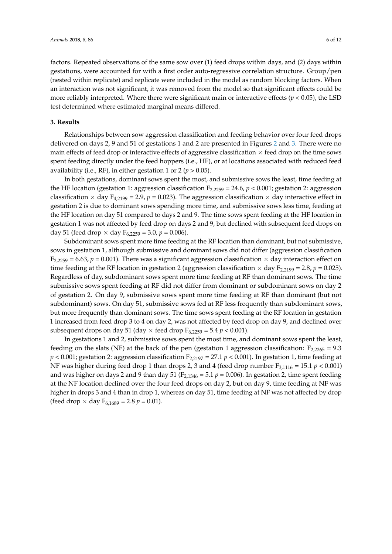factors. Repeated observations of the same sow over (1) feed drops within days, and (2) days within gestations, were accounted for with a first order auto-regressive correlation structure. Group/pen (nested within replicate) and replicate were included in the model as random blocking factors. When an interaction was not significant, it was removed from the model so that significant effects could be more reliably interpreted. Where there were significant main or interactive effects (*p* < 0.05), the LSD test determined where estimated marginal means differed.

# **3. Results**

Relationships between sow aggression classification and feeding behavior over four feed drops delivered on days 2, 9 and 51 of gestations 1 and 2 are presented in Figures [2](#page-6-0) and [3.](#page-7-0) There were no main effects of feed drop or interactive effects of aggressive classification  $\times$  feed drop on the time sows spent feeding directly under the feed hoppers (i.e., HF), or at locations associated with reduced feed availability (i.e., RF), in either gestation 1 or 2 ( $p > 0.05$ ).

In both gestations, dominant sows spent the most, and submissive sows the least, time feeding at the HF location (gestation 1: aggression classification  $F_{2,2259} = 24.6$ ,  $p < 0.001$ ; gestation 2: aggression classification  $\times$  day F<sub>4,2199</sub> = 2.9,  $p = 0.023$ ). The aggression classification  $\times$  day interactive effect in gestation 2 is due to dominant sows spending more time, and submissive sows less time, feeding at the HF location on day 51 compared to days 2 and 9. The time sows spent feeding at the HF location in gestation 1 was not affected by feed drop on days 2 and 9, but declined with subsequent feed drops on day 51 (feed drop  $\times$  day  $F_{6,2259} = 3.0$ ,  $p = 0.006$ ).

Subdominant sows spent more time feeding at the RF location than dominant, but not submissive, sows in gestation 1, although submissive and dominant sows did not differ (aggression classification  $F_{2,2259} = 6.63$ ,  $p = 0.001$ ). There was a significant aggression classification  $\times$  day interaction effect on time feeding at the RF location in gestation 2 (aggression classification  $\times$  day  $F_{2,2199} = 2.8$ ,  $p = 0.025$ ). Regardless of day, subdominant sows spent more time feeding at RF than dominant sows. The time submissive sows spent feeding at RF did not differ from dominant or subdominant sows on day 2 of gestation 2. On day 9, submissive sows spent more time feeding at RF than dominant (but not subdominant) sows. On day 51, submissive sows fed at RF less frequently than subdominant sows, but more frequently than dominant sows. The time sows spent feeding at the RF location in gestation 1 increased from feed drop 3 to 4 on day 2, was not affected by feed drop on day 9, and declined over subsequent drops on day 51 (day  $\times$  feed drop  $F_{6,2259} = 5.4 p < 0.001$ ).

In gestations 1 and 2, submissive sows spent the most time, and dominant sows spent the least, feeding on the slats (NF) at the back of the pen (gestation 1 aggression classification:  $F_{2,2265} = 9.3$  $p < 0.001$ ; gestation 2: aggression classification  $F_{2,2197} = 27.1 p < 0.001$ ). In gestation 1, time feeding at NF was higher during feed drop 1 than drops 2, 3 and 4 (feed drop number  $F_{3,1116} = 15.1 p < 0.001$ ) and was higher on days 2 and 9 than day 51 ( $F_{2,1346} = 5.1 p = 0.006$ ). In gestation 2, time spent feeding at the NF location declined over the four feed drops on day 2, but on day 9, time feeding at NF was higher in drops 3 and 4 than in drop 1, whereas on day 51, time feeding at NF was not affected by drop (feed drop  $\times$  day  $F_{6,1689} = 2.8 p = 0.01$ ).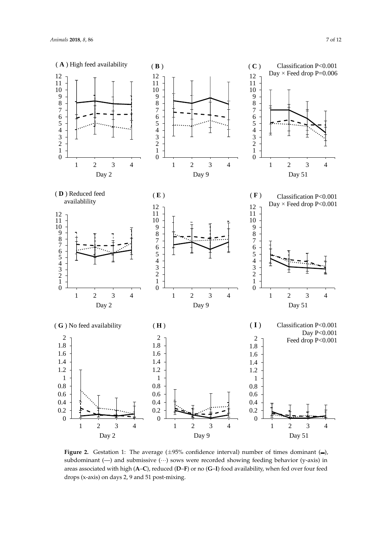<span id="page-6-0"></span>

Figure 2. Gestation 1: The average (±95% confidence interval) number of times dominant (<del></del>), subdominant (–) and submissive (···) sows were recorded showing feeding behavior (y-axis) in areas associated with high  $(A-C)$ , reduced  $(D-F)$  or no  $(G-I)$  food availability, when fed over four feed  $\frac{d}{dx}$  (**A**– $\frac{d}{dx}$ ), reduced  $\frac{d}{dx}$ ,  $\frac{d}{dx}$  or  $\frac{d}{dx}$  food and finition drops (x-axis) on days 2, 9 and 51 post-mixing. drops (x-axis) on days 2, 9 and 51 post-mixing.**Figure 2.** Gestation 1: The average  $(\pm 95\%$  confidence interval) number of times dominant  $\left(\frac{1}{2}\right)$ ,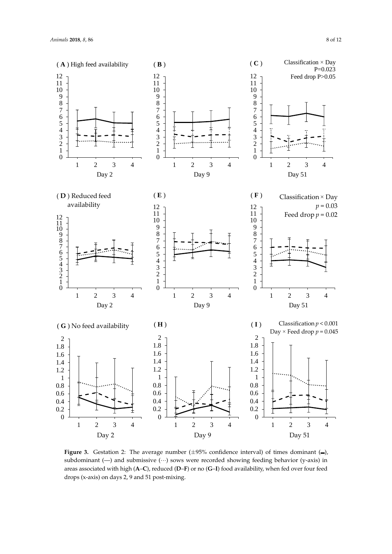<span id="page-7-0"></span>

Figure 3. Gestation 2: The average number (±95% confidence interval) of times dominant ( $−$ ), subdominant ( $−$ ) and submissive (···) sows were recorded showing feeding behavior (y-axis) in areas associated with high  $(A-C)$ , reduced  $(D-F)$  or no  $(G-I)$  food availability, when fed over four feed  $\frac{d}{dx}$ ,  $\frac{d}{dx}$ ,  $\frac{d}{dx}$ ,  $\frac{d}{dx}$ ,  $\frac{d}{dx}$ ,  $\frac{d}{dx}$ ,  $\frac{d}{dx}$ ,  $\frac{d}{dx}$ ,  $\frac{d}{dx}$ ,  $\frac{d}{dx}$ ,  $\frac{d}{dx}$ ,  $\frac{d}{dx}$ ,  $\frac{d}{dx}$ ,  $\frac{d}{dx}$ ,  $\frac{d}{dx}$ ,  $\frac{d}{dx}$ ,  $\frac{d}{dx}$ ,  $\frac{d}{dx}$ ,  $\frac{d}{dx}$ ,  $\frac{d}{dx}$ , drops (x-axis) on days 2, 9 and 51 post-mixing. drops (x-axis) on days 2, 9 and 51 post-mixing.**Figure 3.** Gestation 2: The average number  $(\pm 95\%$  confidence interval) of times dominant  $\left\lfloor \right\rfloor$ ,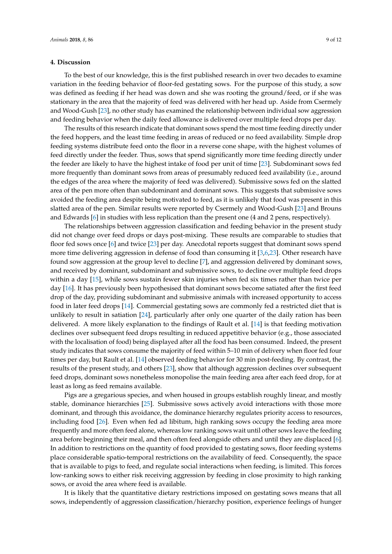### **4. Discussion**

To the best of our knowledge, this is the first published research in over two decades to examine variation in the feeding behavior of floor-fed gestating sows. For the purpose of this study, a sow was defined as feeding if her head was down and she was rooting the ground/feed, or if she was stationary in the area that the majority of feed was delivered with her head up. Aside from Csermely and Wood-Gush [\[23\]](#page-11-1), no other study has examined the relationship between individual sow aggression and feeding behavior when the daily feed allowance is delivered over multiple feed drops per day.

The results of this research indicate that dominant sows spend the most time feeding directly under the feed hoppers, and the least time feeding in areas of reduced or no feed availability. Simple drop feeding systems distribute feed onto the floor in a reverse cone shape, with the highest volumes of feed directly under the feeder. Thus, sows that spend significantly more time feeding directly under the feeder are likely to have the highest intake of food per unit of time [\[23\]](#page-11-1). Subdominant sows fed more frequently than dominant sows from areas of presumably reduced feed availability (i.e., around the edges of the area where the majority of feed was delivered). Submissive sows fed on the slatted area of the pen more often than subdominant and dominant sows. This suggests that submissive sows avoided the feeding area despite being motivated to feed, as it is unlikely that food was present in this slatted area of the pen. Similar results were reported by Csermely and Wood-Gush [\[23\]](#page-11-1) and Brouns and Edwards [\[6\]](#page-10-5) in studies with less replication than the present one (4 and 2 pens, respectively).

The relationships between aggression classification and feeding behavior in the present study did not change over feed drops or days post-mixing. These results are comparable to studies that floor fed sows once [\[6\]](#page-10-5) and twice [\[23\]](#page-11-1) per day. Anecdotal reports suggest that dominant sows spend more time delivering aggression in defense of food than consuming it [\[3,](#page-10-2)[6,](#page-10-5)[23\]](#page-11-1). Other research have found sow aggression at the group level to decline [\[7\]](#page-10-6), and aggression delivered by dominant sows, and received by dominant, subdominant and submissive sows, to decline over multiple feed drops within a day [\[15\]](#page-10-14), while sows sustain fewer skin injuries when fed six times rather than twice per day [\[16\]](#page-10-15). It has previously been hypothesised that dominant sows become satiated after the first feed drop of the day, providing subdominant and submissive animals with increased opportunity to access food in later feed drops [\[14\]](#page-10-13). Commercial gestating sows are commonly fed a restricted diet that is unlikely to result in satiation [\[24\]](#page-11-2), particularly after only one quarter of the daily ration has been delivered. A more likely explanation to the findings of Rault et al. [\[14\]](#page-10-13) is that feeding motivation declines over subsequent feed drops resulting in reduced appetitive behavior (e.g., those associated with the localisation of food) being displayed after all the food has been consumed. Indeed, the present study indicates that sows consume the majority of feed within 5–10 min of delivery when floor fed four times per day, but Rault et al. [\[14\]](#page-10-13) observed feeding behavior for 30 min post-feeding. By contrast, the results of the present study, and others [\[23\]](#page-11-1), show that although aggression declines over subsequent feed drops, dominant sows nonetheless monopolise the main feeding area after each feed drop, for at least as long as feed remains available.

Pigs are a gregarious species, and when housed in groups establish roughly linear, and mostly stable, dominance hierarchies [\[25\]](#page-11-3). Submissive sows actively avoid interactions with those more dominant, and through this avoidance, the dominance hierarchy regulates priority access to resources, including food [\[26\]](#page-11-4). Even when fed ad libitum, high ranking sows occupy the feeding area more frequently and more often feed alone, whereas low ranking sows wait until other sows leave the feeding area before beginning their meal, and then often feed alongside others and until they are displaced [\[6\]](#page-10-5). In addition to restrictions on the quantity of food provided to gestating sows, floor feeding systems place considerable spatio-temporal restrictions on the availability of feed. Consequently, the space that is available to pigs to feed, and regulate social interactions when feeding, is limited. This forces low-ranking sows to either risk receiving aggression by feeding in close proximity to high ranking sows, or avoid the area where feed is available.

It is likely that the quantitative dietary restrictions imposed on gestating sows means that all sows, independently of aggression classification/hierarchy position, experience feelings of hunger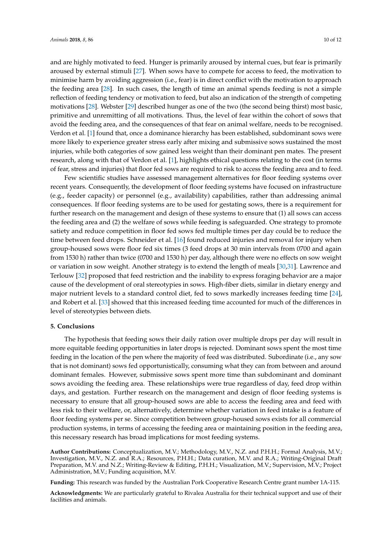and are highly motivated to feed. Hunger is primarily aroused by internal cues, but fear is primarily aroused by external stimuli [\[27\]](#page-11-5). When sows have to compete for access to feed, the motivation to minimise harm by avoiding aggression (i.e., fear) is in direct conflict with the motivation to approach the feeding area [\[28\]](#page-11-6). In such cases, the length of time an animal spends feeding is not a simple reflection of feeding tendency or motivation to feed, but also an indication of the strength of competing motivations [\[28\]](#page-11-6). Webster [\[29\]](#page-11-7) described hunger as one of the two (the second being thirst) most basic, primitive and unremitting of all motivations. Thus, the level of fear within the cohort of sows that avoid the feeding area, and the consequences of that fear on animal welfare, needs to be recognised. Verdon et al. [\[1\]](#page-10-0) found that, once a dominance hierarchy has been established, subdominant sows were more likely to experience greater stress early after mixing and submissive sows sustained the most injuries, while both categories of sow gained less weight than their dominant pen mates. The present research, along with that of Verdon et al. [\[1\]](#page-10-0), highlights ethical questions relating to the cost (in terms of fear, stress and injuries) that floor fed sows are required to risk to access the feeding area and to feed.

Few scientific studies have assessed management alternatives for floor feeding systems over recent years. Consequently, the development of floor feeding systems have focused on infrastructure (e.g., feeder capacity) or personnel (e.g., availability) capabilities, rather than addressing animal consequences. If floor feeding systems are to be used for gestating sows, there is a requirement for further research on the management and design of these systems to ensure that (1) all sows can access the feeding area and (2) the welfare of sows while feeding is safeguarded. One strategy to promote satiety and reduce competition in floor fed sows fed multiple times per day could be to reduce the time between feed drops. Schneider et al. [\[16\]](#page-10-15) found reduced injuries and removal for injury when group-housed sows were floor fed six times (3 feed drops at 30 min intervals from 0700 and again from 1530 h) rather than twice (0700 and 1530 h) per day, although there were no effects on sow weight or variation in sow weight. Another strategy is to extend the length of meals [\[30](#page-11-8)[,31\]](#page-11-9). Lawrence and Terlouw [\[32\]](#page-11-10) proposed that feed restriction and the inability to express foraging behavior are a major cause of the development of oral stereotypies in sows. High-fiber diets, similar in dietary energy and major nutrient levels to a standard control diet, fed to sows markedly increases feeding time [\[24\]](#page-11-2), and Robert et al. [\[33\]](#page-11-11) showed that this increased feeding time accounted for much of the differences in level of stereotypies between diets.

# **5. Conclusions**

The hypothesis that feeding sows their daily ration over multiple drops per day will result in more equitable feeding opportunities in later drops is rejected. Dominant sows spent the most time feeding in the location of the pen where the majority of feed was distributed. Subordinate (i.e., any sow that is not dominant) sows fed opportunistically, consuming what they can from between and around dominant females. However, submissive sows spent more time than subdominant and dominant sows avoiding the feeding area. These relationships were true regardless of day, feed drop within days, and gestation. Further research on the management and design of floor feeding systems is necessary to ensure that all group-housed sows are able to access the feeding area and feed with less risk to their welfare, or, alternatively, determine whether variation in feed intake is a feature of floor feeding systems per se. Since competition between group-housed sows exists for all commercial production systems, in terms of accessing the feeding area or maintaining position in the feeding area, this necessary research has broad implications for most feeding systems.

**Author Contributions:** Conceptualization, M.V.; Methodology, M.V., N.Z. and P.H.H.; Formal Analysis, M.V.; Investigation, M.V., N.Z. and R.A.; Resources, P.H.H.; Data curation, M.V. and R.A.; Writing-Original Draft Preparation, M.V. and N.Z.; Writing-Review & Editing, P.H.H.; Visualization, M.V.; Supervision, M.V.; Project Administration, M.V.; Funding acquisition, M.V.

**Funding:** This research was funded by the Australian Pork Cooperative Research Centre grant number 1A-115.

**Acknowledgments:** We are particularly grateful to Rivalea Australia for their technical support and use of their facilities and animals.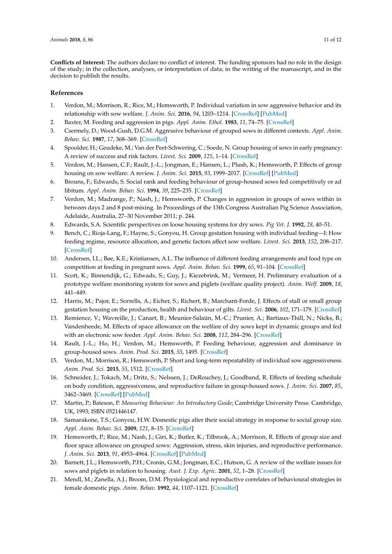**Conflicts of Interest:** The authors declare no conflict of interest. The funding sponsors had no role in the design of the study; in the collection, analyses, or interpretation of data; in the writing of the manuscript, and in the decision to publish the results.

## **References**

- <span id="page-10-0"></span>1. Verdon, M.; Morrison, R.; Rice, M.; Hemsworth, P. Individual variation in sow aggressive behavior and its relationship with sow welfare. *J. Anim. Sci.* **2016**, *94*, 1203–1214. [\[CrossRef\]](http://dx.doi.org/10.2527/jas.2015-0006) [\[PubMed\]](http://www.ncbi.nlm.nih.gov/pubmed/27065281)
- <span id="page-10-1"></span>2. Baxter, M. Feeding and aggression in pigs. *Appl. Anim. Ethol.* **1983**, *11*, 74–75. [\[CrossRef\]](http://dx.doi.org/10.1016/0304-3762(83)90085-8)
- <span id="page-10-2"></span>3. Csermely, D.; Wood-Gush, D.G.M. Aggressive behaviour of grouped sows in different contexts. *Appl. Anim. Behav. Sci.* **1987**, *17*, 368–369. [\[CrossRef\]](http://dx.doi.org/10.1016/0168-1591(87)90163-8)
- <span id="page-10-3"></span>4. Spoolder, H.; Geudeke, M.; Van der Peet-Schwering, C.; Soede, N. Group housing of sows in early pregnancy: A review of success and risk factors. *Livest. Sci.* **2009**, *125*, 1–14. [\[CrossRef\]](http://dx.doi.org/10.1016/j.livsci.2009.03.009)
- <span id="page-10-4"></span>5. Verdon, M.; Hansen, C.F.; Rault, J.-L.; Jongman, E.; Hansen, L.; Plush, K.; Hemsworth, P. Effects of group housing on sow welfare: A review. *J. Anim. Sci.* **2015**, *93*, 1999–2017. [\[CrossRef\]](http://dx.doi.org/10.2527/jas.2014-8742) [\[PubMed\]](http://www.ncbi.nlm.nih.gov/pubmed/26020296)
- <span id="page-10-5"></span>6. Brouns, F.; Edwards, S. Social rank and feeding behaviour of group-housed sows fed competitively or ad libitum. *Appl. Anim. Behav. Sci.* **1994**, *39*, 225–235. [\[CrossRef\]](http://dx.doi.org/10.1016/0168-1591(94)90158-9)
- <span id="page-10-6"></span>7. Verdon, M.; Madrange, P.; Nash, J.; Hemsworth, P. Changes in aggression in groups of sows within in between days 2 and 8 post-mixing. In Proceedings of the 13th Congress Australian Pig Science Association, Adelaide, Australia, 27–30 November 2011; p. 244.
- <span id="page-10-7"></span>8. Edwards, S.A. Scientific perspectives on loose housing systems for dry sows. *Pig Vet. J.* **1992**, *28*, 40–51.
- <span id="page-10-8"></span>9. Bench, C.; Rioja-Lang, F.; Hayne, S.; Gonyou, H. Group gestation housing with individual feeding—I: How feeding regime, resource allocation, and genetic factors affect sow welfare. *Livest. Sci.* **2013**, *152*, 208–217. [\[CrossRef\]](http://dx.doi.org/10.1016/j.livsci.2012.12.021)
- <span id="page-10-9"></span>10. Andersen, I.L.; Bøe, K.E.; Kristiansen, A.L. The influence of different feeding arrangements and food type on competition at feeding in pregnant sows. *Appl. Anim. Behav. Sci.* **1999**, *65*, 91–104. [\[CrossRef\]](http://dx.doi.org/10.1016/S0168-1591(99)00058-1)
- <span id="page-10-10"></span>11. Scott, K.; Binnendijk, G.; Edwads, S.; Guy, J.; Kiezebrink, M.; Vermeer, H. Preliminary evaluation of a prototype welfare monitoring system for sows and piglets (welfare quality project). *Anim. Welf.* **2009**, *18*, 441–449.
- <span id="page-10-11"></span>12. Harris, M.; Pajor, E.; Sorrells, A.; Eicher, S.; Richert, B.; Marchant-Forde, J. Effects of stall or small group gestation housing on the production, health and behaviour of gilts. *Livest. Sci.* **2006**, *102*, 171–179. [\[CrossRef\]](http://dx.doi.org/10.1016/j.livsci.2005.12.004)
- <span id="page-10-12"></span>13. Remience, V.; Wavreille, J.; Canart, B.; Meunier-Salaün, M.-C.; Prunier, A.; Bartiaux-Thill, N.; Nicks, B.; Vandenheede, M. Effects of space allowance on the welfare of dry sows kept in dynamic groups and fed with an electronic sow feeder. *Appl. Anim. Behav. Sci.* **2008**, *112*, 284–296. [\[CrossRef\]](http://dx.doi.org/10.1016/j.applanim.2007.07.006)
- <span id="page-10-13"></span>14. Rault, J.-L.; Ho, H.; Verdon, M.; Hemsworth, P. Feeding behaviour, aggression and dominance in group-housed sows. *Anim. Prod. Sci.* **2015**, *55*, 1495. [\[CrossRef\]](http://dx.doi.org/10.1071/ANv55n12Ab001)
- <span id="page-10-14"></span>15. Verdon, M.; Morrison, R.; Hemsworth, P. Short and long-term repeatability of individual sow aggressiveness. *Anim. Prod. Sci.* **2015**, *55*, 1512. [\[CrossRef\]](http://dx.doi.org/10.1071/ANv55n12Ab055)
- <span id="page-10-15"></span>16. Schneider, J.; Tokach, M.; Dritz, S.; Nelssen, J.; DeRouchey, J.; Goodband, R. Effects of feeding schedule on body condition, aggressiveness, and reproductive failure in group-housed sows. *J. Anim. Sci.* **2007**, *85*, 3462–3469. [\[CrossRef\]](http://dx.doi.org/10.2527/jas.2007-0345) [\[PubMed\]](http://www.ncbi.nlm.nih.gov/pubmed/17785592)
- <span id="page-10-16"></span>17. Martin, P.; Bateson, P. *Measuring Behaviour: An Introductory Guide*; Cambridge University Press: Cambridge, UK, 1993; ISBN 0521446147.
- <span id="page-10-17"></span>18. Samarakone, T.S.; Gonyou, H.W. Domestic pigs alter their social strategy in response to social group size. *Appl. Anim. Behav. Sci.* **2009**, *121*, 8–15. [\[CrossRef\]](http://dx.doi.org/10.1016/j.applanim.2009.08.006)
- <span id="page-10-18"></span>19. Hemsworth, P.; Rice, M.; Nash, J.; Giri, K.; Butler, K.; Tilbrook, A.; Morrison, R. Effects of group size and floor space allowance on grouped sows: Aggression, stress, skin injuries, and reproductive performance. *J. Anim. Sci.* **2013**, *91*, 4953–4964. [\[CrossRef\]](http://dx.doi.org/10.2527/jas.2012-5807) [\[PubMed\]](http://www.ncbi.nlm.nih.gov/pubmed/23893983)
- <span id="page-10-19"></span>20. Barnett, J.L.; Hemsworth, P.H.; Cronin, G.M.; Jongman, E.C.; Hutson, G. A review of the welfare issues for sows and piglets in relation to housing. *Aust. J. Exp. Agric.* **2001**, *52*, 1–28. [\[CrossRef\]](http://dx.doi.org/10.1071/AR00057)
- <span id="page-10-20"></span>21. Mendl, M.; Zanella, A.J.; Broom, D.M. Physiological and reproductive correlates of behavioural strategies in female domestic pigs. *Anim. Behav.* **1992**, *44*, 1107–1121. [\[CrossRef\]](http://dx.doi.org/10.1016/S0003-3472(05)80323-9)